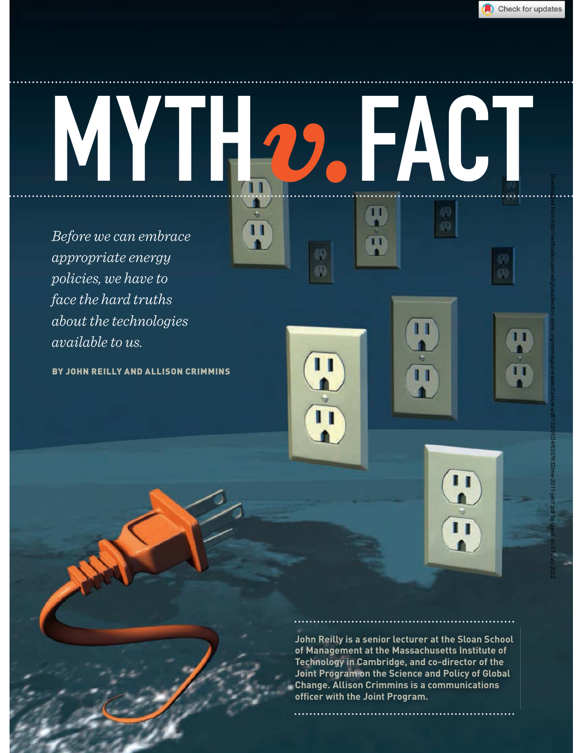

Ш

m

# MYTH*v.*FACT Downloaded from http://verification.asmedigitalcollection.asme.org/memagazineselect/article-pdf/133/01/24/6357632/me-2011-jan1.pdf by guest on 07 July 2022AT I  $\mathbf{T}$

ΠТ

 $\overline{\mathbf{u}}$ 

*Before we can embrace appropriate energy policies, we have to face the hard truths about the technologies available to us.*

BY JOHN REILLY AND ALLISON CRIMMINS

**24** MECHANICAL ENGINEERING ECHANICAL | January 2011



#### **John Reilly is a senior lecturer at the Sloan School of Management at the Massachusetts Institute of Technology in Cambridge, and co-director of the Joint Program on the Science and Policy of Global Change. Allison Crimmins is a communications officer with the Joint Program.**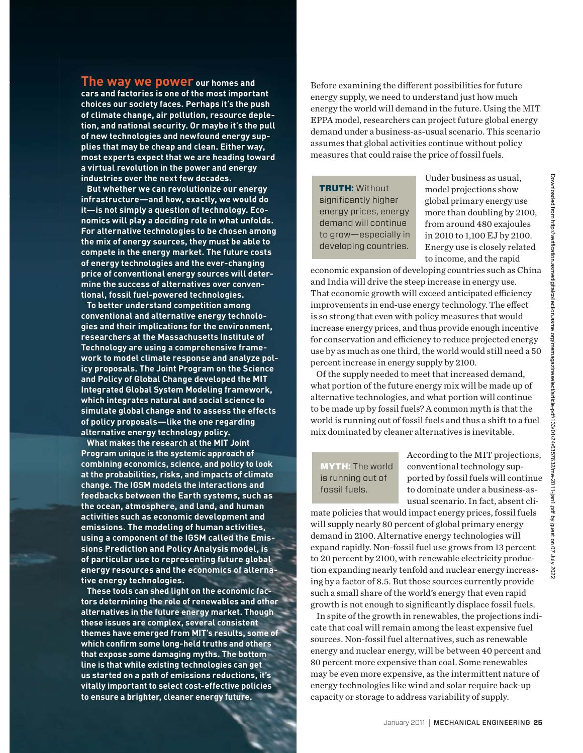**The way we power our homes and cars and factories is one of the most important choices our society faces. Perhaps it's the push of climate change, air pollution, resource depletion, and national security. Or maybe it's the pull of new technologies and newfound energy supplies that may be cheap and clean. Either way, most experts expect that we are heading toward a virtual revolution in the power and energy industries over the next few decades.**

**But whether we can revolutionize our energy infrastructure—and how, exactly, we would do it—is not simply a question of technology. Economics will play a deciding role in what unfolds. For alternative technologies to be chosen among the mix of energy sources, they must be able to compete in the energy market. The future costs of energy technologies and the ever-changing price of conventional energy sources will determine the success of alternatives over conventional, fossil fuel-powered technologies.**

**To better understand competition among conventional and alternative energy technologies and their implications for the environment, researchers at the Massachusetts Institute of Technology are using a comprehensive framework to model climate response and analyze policy proposals. The Joint Program on the Science and Policy of Global Change developed the MIT Integrated Global System Modeling framework, which integrates natural and social science to simulate global change and to assess the effects of policy proposals—like the one regarding alternative energy technology policy.**

**What makes the research at the MIT Joint Program unique is the systemic approach of combining economics, science, and policy to look at the probabilities, risks, and impacts of climate change. The IGSM models the interactions and feedbacks between the Earth systems, such as the ocean, atmosphere, and land, and human activities such as economic development and emissions. The modeling of human activities, using a component of the IGSM called the Emissions Prediction and Policy Analysis model, is of particular use to representing future global energy resources and the economics of alternative energy technologies.**

**These tools can shed light on the economic factors determining the role of renewables and other alternatives in the future energy market. Though these issues are complex, several consistent themes have emerged from MIT's results, some of which confirm some long-held truths and others that expose some damaging myths. The bottom line is that while existing technologies can get us started on a path of emissions reductions, it's vitally important to select cost-effective policies to ensure a brighter, cleaner energy future.**

Before examining the different possibilities for future energy supply, we need to understand just how much energy the world will demand in the future. Using the MIT EPPA model, researchers can project future global energy demand under a business-as-usual scenario. This scenario assumes that global activities continue without policy measures that could raise the price of fossil fuels.

TRUTH: Without significantly higher energy prices, energy demand will continue to grow—especially in developing countries.

Under business as usual, model projections show global primary energy use more than doubling by 2100, from around 480 exajoules in 2010 to 1,100 EJ by 2100. Energy use is closely related to income, and the rapid

economic expansion of developing countries such as China and India will drive the steep increase in energy use. That economic growth will exceed anticipated efficiency improvements in end-use energy technology. The effect is so strong that even with policy measures that would increase energy prices, and thus provide enough incentive for conservation and efficiency to reduce projected energy use by as much as one third, the world would still need a 50 percent increase in energy supply by 2100.

Of the supply needed to meet that increased demand, what portion of the future energy mix will be made up of alternative technologies, and what portion will continue to be made up by fossil fuels? A common myth is that the world is running out of fossil fuels and thus a shift to a fuel mix dominated by cleaner alternatives is inevitable.

MYTH: The world is running out of fossil fuels.

According to the MIT projections, conventional technology supported by fossil fuels will continue to dominate under a business-asusual scenario. In fact, absent cli-

mate policies that would impact energy prices, fossil fuels will supply nearly 80 percent of global primary energy demand in 2100. Alternative energy technologies will expand rapidly. Non-fossil fuel use grows from 13 percent to 20 percent by 2100, with renewable electricity production expanding nearly tenfold and nuclear energy increasing by a factor of 8.5. But those sources currently provide such a small share of the world's energy that even rapid growth is not enough to significantly displace fossil fuels.

In spite of the growth in renewables, the projections indicate that coal will remain among the least expensive fuel sources. Non-fossil fuel alternatives, such as renewable energy and nuclear energy, will be between 40 percent and 80 percent more expensive than coal. Some renewables may be even more expensive, as the intermittent nature of energy technologies like wind and solar require back-up capacity or storage to address variability of supply.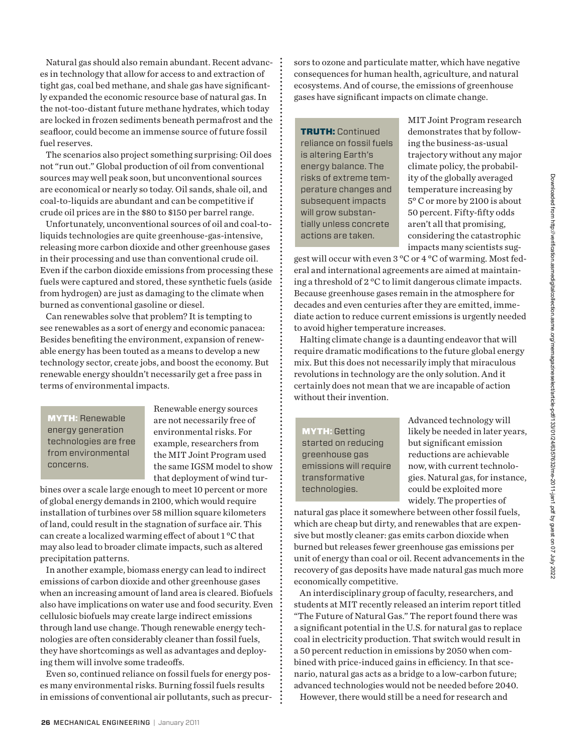Natural gas should also remain abundant. Recent advances in technology that allow for access to and extraction of tight gas, coal bed methane, and shale gas have significantly expanded the economic resource base of natural gas. In the not-too-distant future methane hydrates, which today are locked in frozen sediments beneath permafrost and the seafloor, could become an immense source of future fossil fuel reserves.

The scenarios also project something surprising: Oil does not "run out." Global production of oil from conventional sources may well peak soon, but unconventional sources are economical or nearly so today. Oil sands, shale oil, and coal-to-liquids are abundant and can be competitive if crude oil prices are in the \$80 to \$150 per barrel range.

Unfortunately, unconventional sources of oil and coal-toliquids technologies are quite greenhouse-gas-intensive, releasing more carbon dioxide and other greenhouse gases in their processing and use than conventional crude oil. Even if the carbon dioxide emissions from processing these fuels were captured and stored, these synthetic fuels (aside from hydrogen) are just as damaging to the climate when burned as conventional gasoline or diesel.

Can renewables solve that problem? It is tempting to see renewables as a sort of energy and economic panacea: Besides benefiting the environment, expansion of renewable energy has been touted as a means to develop a new technology sector, create jobs, and boost the economy. But renewable energy shouldn't necessarily get a free pass in terms of environmental impacts.

MYTH: Renewable energy generation technologies are free from environmental concerns.

Renewable energy sources are not necessarily free of environmental risks. For example, researchers from the MIT Joint Program used the same IGSM model to show that deployment of wind tur-

bines over a scale large enough to meet 10 percent or more of global energy demands in 2100, which would require installation of turbines over 58 million square kilometers of land, could result in the stagnation of surface air. This can create a localized warming effect of about 1 °C that may also lead to broader climate impacts, such as altered precipitation patterns.

In another example, biomass energy can lead to indirect emissions of carbon dioxide and other greenhouse gases when an increasing amount of land area is cleared. Biofuels also have implications on water use and food security. Even cellulosic biofuels may create large indirect emissions through land use change. Though renewable energy technologies are often considerably cleaner than fossil fuels, they have shortcomings as well as advantages and deploying them will involve some tradeoffs.

Even so, continued reliance on fossil fuels for energy poses many environmental risks. Burning fossil fuels results in emissions of conventional air pollutants, such as precursors to ozone and particulate matter, which have negative consequences for human health, agriculture, and natural ecosystems. And of course, the emissions of greenhouse gases have significant impacts on climate change.

TRUTH: Continued reliance on fossil fuels is altering Earth's energy balance. The risks of extreme temperature changes and subsequent impacts will grow substantially unless concrete actions are taken.

MIT Joint Program research demonstrates that by following the business-as-usual trajectory without any major climate policy, the probability of the globally averaged temperature increasing by 5° C or more by 2100 is about 50 percent. Fifty-fifty odds aren't all that promising, considering the catastrophic impacts many scientists sug-

gest will occur with even 3 °C or 4 °C of warming. Most federal and international agreements are aimed at maintaining a threshold of 2 °C to limit dangerous climate impacts. Because greenhouse gases remain in the atmosphere for decades and even centuries after they are emitted, immediate action to reduce current emissions is urgently needed to avoid higher temperature increases.

Halting climate change is a daunting endeavor that will require dramatic modifications to the future global energy mix. But this does not necessarily imply that miraculous revolutions in technology are the only solution. And it certainly does not mean that we are incapable of action without their invention.

MYTH: Getting started on reducing greenhouse gas emissions will require transformative technologies.

Advanced technology will likely be needed in later years, but significant emission reductions are achievable now, with current technologies. Natural gas, for instance, could be exploited more widely. The properties of

natural gas place it somewhere between other fossil fuels, which are cheap but dirty, and renewables that are expensive but mostly cleaner: gas emits carbon dioxide when burned but releases fewer greenhouse gas emissions per unit of energy than coal or oil. Recent advancements in the recovery of gas deposits have made natural gas much more economically competitive.

An interdisciplinary group of faculty, researchers, and students at MIT recently released an interim report titled "The Future of Natural Gas." The report found there was a significant potential in the U.S. for natural gas to replace coal in electricity production. That switch would result in a 50 percent reduction in emissions by 2050 when combined with price-induced gains in efficiency. In that scenario, natural gas acts as a bridge to a low-carbon future; advanced technologies would not be needed before 2040. However, there would still be a need for research and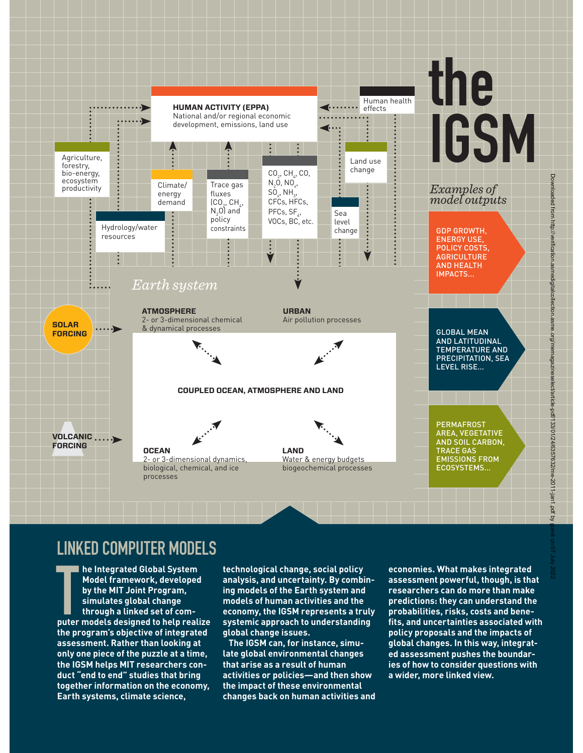

**Downloaded** 

from

### LINKED COMPUTER MODELS

LINI<br>T **he Integrated Global System Model framework, developed by the MIT Joint Program, simulates global change through a linked set of computer models designed to help realize the program's objective of integrated assessment. Rather than looking at only one piece of the puzzle at a time, the IGSM helps MIT researchers conduct "end to end" studies that bring together information on the economy, Earth systems, climate science,** 

**technological change, social policy analysis, and uncertainty. By combining models of the Earth system and models of human activities and the economy, the IGSM represents a truly systemic approach to understanding global change issues.**

**The IGSM can, for instance, simulate global environmental changes that arise as a result of human activities or policies—and then show the impact of these environmental changes back on human activities and**  **economies. What makes integrated assessment powerful, though, is that researchers can do more than make predictions: they can understand the probabilities, risks, costs and benefits, and uncertainties associated with policy proposals and the impacts of global changes. In this way, integrated assessment pushes the boundaries of how to consider questions with a wider, more linked view.**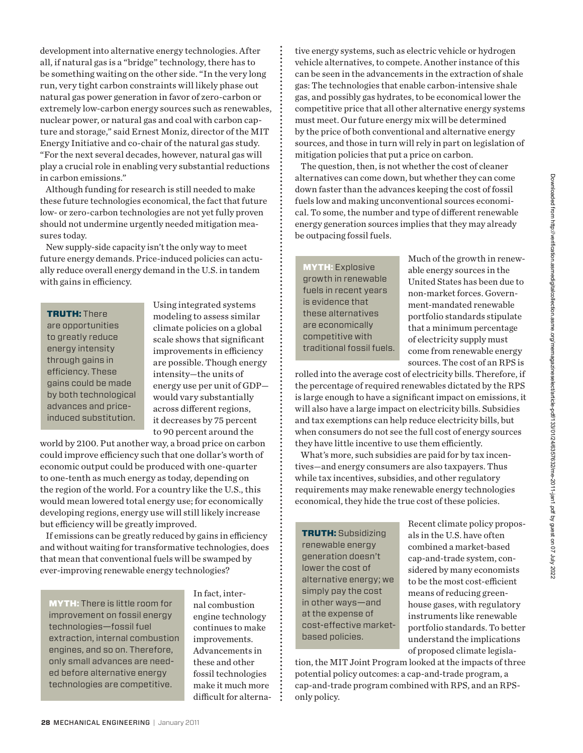development into alternative energy technologies. After all, if natural gas is a "bridge" technology, there has to be something waiting on the other side. "In the very long run, very tight carbon constraints will likely phase out natural gas power generation in favor of zero-carbon or extremely low-carbon energy sources such as renewables, nuclear power, or natural gas and coal with carbon capture and storage," said Ernest Moniz, director of the MIT Energy Initiative and co-chair of the natural gas study. "For the next several decades, however, natural gas will play a crucial role in enabling very substantial reductions in carbon emissions."

Although funding for research is still needed to make these future technologies economical, the fact that future low- or zero-carbon technologies are not yet fully proven should not undermine urgently needed mitigation measures today.

New supply-side capacity isn't the only way to meet future energy demands. Price-induced policies can actually reduce overall energy demand in the U.S. in tandem with gains in efficiency.

#### TRUTH: There

are opportunities to greatly reduce energy intensity through gains in efficiency. These gains could be made by both technological advances and priceinduced substitution.

Using integrated systems modeling to assess similar climate policies on a global scale shows that significant improvements in efficiency are possible. Though energy intensity—the units of energy use per unit of GDP would vary substantially across different regions, it decreases by 75 percent to 90 percent around the

world by 2100. Put another way, a broad price on carbon could improve efficiency such that one dollar's worth of economic output could be produced with one-quarter to one-tenth as much energy as today, depending on the region of the world. For a country like the U.S., this would mean lowered total energy use; for economically developing regions, energy use will still likely increase but efficiency will be greatly improved.

If emissions can be greatly reduced by gains in efficiency and without waiting for transformative technologies, does that mean that conventional fuels will be swamped by ever-improving renewable energy technologies?

MYTH: There is little room for improvement on fossil energy technologies—fossil fuel extraction, internal combustion engines, and so on. Therefore, only small advances are needed before alternative energy technologies are competitive.

In fact, internal combustion engine technology continues to make improvements. Advancements in these and other fossil technologies make it much more difficult for alternative energy systems, such as electric vehicle or hydrogen vehicle alternatives, to compete. Another instance of this can be seen in the advancements in the extraction of shale gas: The technologies that enable carbon-intensive shale gas, and possibly gas hydrates, to be economical lower the competitive price that all other alternative energy systems must meet. Our future energy mix will be determined by the price of both conventional and alternative energy sources, and those in turn will rely in part on legislation of mitigation policies that put a price on carbon.

The question, then, is not whether the cost of cleaner alternatives can come down, but whether they can come down faster than the advances keeping the cost of fossil fuels low and making unconventional sources economical. To some, the number and type of different renewable energy generation sources implies that they may already be outpacing fossil fuels.

MYTH: Explosive growth in renewable fuels in recent years is evidence that these alternatives are economically competitive with traditional fossil fuels. Much of the growth in renewable energy sources in the United States has been due to non-market forces. Government-mandated renewable portfolio standards stipulate that a minimum percentage of electricity supply must come from renewable energy sources. The cost of an RPS is

rolled into the average cost of electricity bills. Therefore, if the percentage of required renewables dictated by the RPS is large enough to have a significant impact on emissions, it will also have a large impact on electricity bills. Subsidies and tax exemptions can help reduce electricity bills, but when consumers do not see the full cost of energy sources they have little incentive to use them efficiently.

What's more, such subsidies are paid for by tax incentives—and energy consumers are also taxpayers. Thus while tax incentives, subsidies, and other regulatory requirements may make renewable energy technologies economical, they hide the true cost of these policies.

TRUTH: Subsidizing renewable energy generation doesn't lower the cost of alternative energy; we simply pay the cost in other ways—and at the expense of cost-effective marketbased policies.

Recent climate policy proposals in the U.S. have often combined a market-based cap-and-trade system, considered by many economists to be the most cost-efficient means of reducing greenhouse gases, with regulatory instruments like renewable portfolio standards. To better understand the implications of proposed climate legisla-

tion, the MIT Joint Program looked at the impacts of three potential policy outcomes: a cap-and-trade program, a cap-and-trade program combined with RPS, and an RPSonly policy.